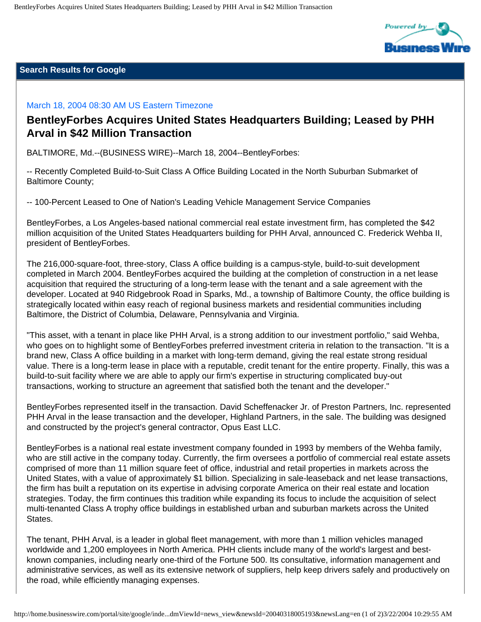

### **Search Results for Google**

## March 18, 2004 08:30 AM US Eastern Timezone

# **BentleyForbes Acquires United States Headquarters Building; Leased by PHH Arval in \$42 Million Transaction**

BALTIMORE, Md.--(BUSINESS WIRE)--March 18, 2004--BentleyForbes:

-- Recently Completed Build-to-Suit Class A Office Building Located in the North Suburban Submarket of Baltimore County;

-- 100-Percent Leased to One of Nation's Leading Vehicle Management Service Companies

BentleyForbes, a Los Angeles-based national commercial real estate investment firm, has completed the \$42 million acquisition of the United States Headquarters building for PHH Arval, announced C. Frederick Wehba II, president of BentleyForbes.

The 216,000-square-foot, three-story, Class A office building is a campus-style, build-to-suit development completed in March 2004. BentleyForbes acquired the building at the completion of construction in a net lease acquisition that required the structuring of a long-term lease with the tenant and a sale agreement with the developer. Located at 940 Ridgebrook Road in Sparks, Md., a township of Baltimore County, the office building is strategically located within easy reach of regional business markets and residential communities including Baltimore, the District of Columbia, Delaware, Pennsylvania and Virginia.

"This asset, with a tenant in place like PHH Arval, is a strong addition to our investment portfolio," said Wehba, who goes on to highlight some of BentleyForbes preferred investment criteria in relation to the transaction. "It is a brand new, Class A office building in a market with long-term demand, giving the real estate strong residual value. There is a long-term lease in place with a reputable, credit tenant for the entire property. Finally, this was a build-to-suit facility where we are able to apply our firm's expertise in structuring complicated buy-out transactions, working to structure an agreement that satisfied both the tenant and the developer."

BentleyForbes represented itself in the transaction. David Scheffenacker Jr. of Preston Partners, Inc. represented PHH Arval in the lease transaction and the developer, Highland Partners, in the sale. The building was designed and constructed by the project's general contractor, Opus East LLC.

BentleyForbes is a national real estate investment company founded in 1993 by members of the Wehba family, who are still active in the company today. Currently, the firm oversees a portfolio of commercial real estate assets comprised of more than 11 million square feet of office, industrial and retail properties in markets across the United States, with a value of approximately \$1 billion. Specializing in sale-leaseback and net lease transactions, the firm has built a reputation on its expertise in advising corporate America on their real estate and location strategies. Today, the firm continues this tradition while expanding its focus to include the acquisition of select multi-tenanted Class A trophy office buildings in established urban and suburban markets across the United States.

The tenant, PHH Arval, is a leader in global fleet management, with more than 1 million vehicles managed worldwide and 1,200 employees in North America. PHH clients include many of the world's largest and bestknown companies, including nearly one-third of the Fortune 500. Its consultative, information management and administrative services, as well as its extensive network of suppliers, help keep drivers safely and productively on the road, while efficiently managing expenses.